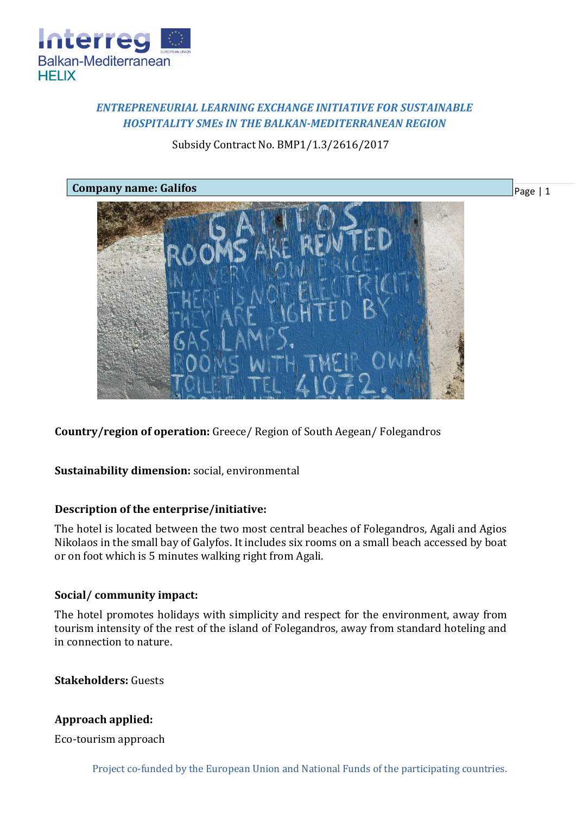

# *ENTREPRENEURIAL LEARNING EXCHANGE INITIATIVE FOR SUSTAINABLE HOSPITALITY SMEs IN THE BALKAN-MEDITERRANEAN REGION*

## Subsidy Contract No. BMP1/1.3/2616/2017



**Country/region of operation:** Greece/ Region of South Aegean/ Folegandros

**Sustainability dimension:** social, environmental

## **Description of the enterprise/initiative:**

The hotel is located between the two most central beaches of Folegandros, Agali and Agios Nikolaos in the small bay of Galyfos. It includes six rooms on a small beach accessed by boat or on foot which is 5 minutes walking right from Agali.

## **Social/ community impact:**

The hotel promotes holidays with simplicity and respect for the environment, away from tourism intensity of the rest of the island of Folegandros, away from standard hoteling and in connection to nature.

**Stakeholders:** Guests

# **Approach applied:**

Eco-tourism approach

Project co-funded by the European Union and National Funds of the participating countries.